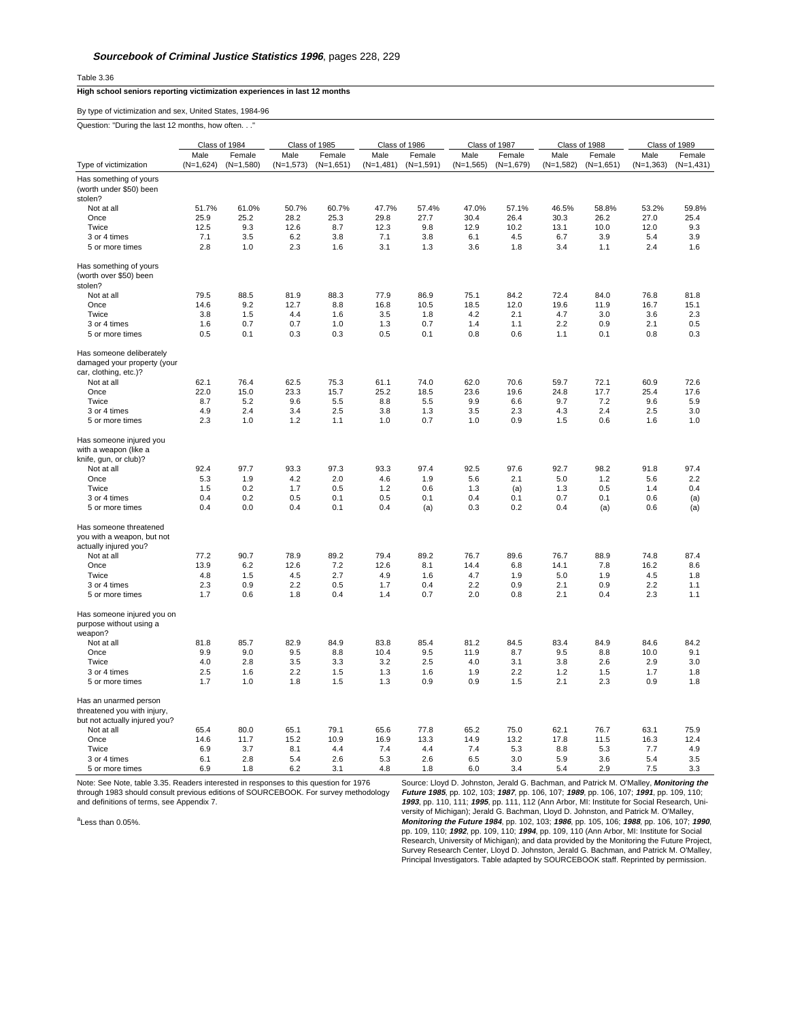Table 3.36

## **High school seniors reporting victimization experiences in last 12 months**

By type of victimization and sex, United States, 1984-96

|  |  | Question: "During the last 12 months, how often" |  |
|--|--|--------------------------------------------------|--|
|  |  |                                                  |  |

|                                                                                       | Class of 1984 |             | Class of 1985 |             | Class of 1986 |             | Class of 1987 |             | Class of 1988 |             | Class of 1989 |              |
|---------------------------------------------------------------------------------------|---------------|-------------|---------------|-------------|---------------|-------------|---------------|-------------|---------------|-------------|---------------|--------------|
|                                                                                       | Male          | Female      | Male          | Female      | Male          | Female      | Male          | Female      | Male          | Female      | Male          | Female       |
| Type of victimization                                                                 | $(N=1,624)$   | $(N=1,580)$ | $(N=1,573)$   | $(N=1,651)$ | $(N=1,481)$   | $(N=1,591)$ | $(N=1,565)$   | $(N=1,679)$ | $(N=1,582)$   | $(N=1,651)$ | $(N=1,363)$   | $(N=1, 431)$ |
| Has something of yours                                                                |               |             |               |             |               |             |               |             |               |             |               |              |
| (worth under \$50) been<br>stolen?                                                    |               |             |               |             |               |             |               |             |               |             |               |              |
| Not at all                                                                            | 51.7%         | 61.0%       | 50.7%         | 60.7%       | 47.7%         | 57.4%       | 47.0%         | 57.1%       | 46.5%         | 58.8%       | 53.2%         | 59.8%        |
| Once                                                                                  | 25.9          | 25.2        | 28.2          | 25.3        | 29.8          | 27.7        | 30.4          | 26.4        | 30.3          | 26.2        | 27.0          | 25.4         |
| Twice                                                                                 | 12.5          | 9.3         | 12.6          | 8.7         | 12.3          | 9.8         | 12.9          | 10.2        | 13.1          | 10.0        | 12.0          | 9.3          |
| 3 or 4 times                                                                          | 7.1           | 3.5         | 6.2           | 3.8         | 7.1           | 3.8         | 6.1           | 4.5         | 6.7           | 3.9         | 5.4           | 3.9          |
| 5 or more times                                                                       | 2.8           | 1.0         | 2.3           | 1.6         | 3.1           | 1.3         | 3.6           | 1.8         | 3.4           | 1.1         | 2.4           | 1.6          |
| Has something of yours<br>(worth over \$50) been<br>stolen?                           |               |             |               |             |               |             |               |             |               |             |               |              |
| Not at all                                                                            | 79.5          | 88.5        | 81.9          | 88.3        | 77.9          | 86.9        | 75.1          | 84.2        | 72.4          | 84.0        | 76.8          | 81.8         |
| Once                                                                                  |               | 9.2         | 12.7          | 8.8         | 16.8          | 10.5        | 18.5          | 12.0        | 19.6          | 11.9        | 16.7          | 15.1         |
| Twice                                                                                 | 14.6<br>3.8   | 1.5         | 4.4           | 1.6         | 3.5           | 1.8         | 4.2           | 2.1         | 4.7           | 3.0         | 3.6           | 2.3          |
|                                                                                       |               |             |               |             |               | 0.7         |               |             | 2.2           |             | 2.1           |              |
| 3 or 4 times                                                                          | 1.6           | 0.7         | 0.7           | 1.0         | 1.3           |             | 1.4           | 1.1         |               | 0.9         |               | 0.5          |
| 5 or more times                                                                       | 0.5           | 0.1         | 0.3           | 0.3         | 0.5           | 0.1         | 0.8           | 0.6         | 1.1           | 0.1         | 0.8           | 0.3          |
| Has someone deliberately<br>damaged your property (your<br>car, clothing, etc.)?      |               |             |               |             |               |             |               |             |               |             |               |              |
| Not at all                                                                            | 62.1          | 76.4        | 62.5          | 75.3        | 61.1          | 74.0        | 62.0          | 70.6        | 59.7          | 72.1        | 60.9          | 72.6         |
| Once                                                                                  | 22.0          | 15.0        | 23.3          | 15.7        | 25.2          | 18.5        | 23.6          | 19.6        | 24.8          | 17.7        | 25.4          | 17.6         |
| Twice                                                                                 | 8.7           | 5.2         | 9.6           | 5.5         | 8.8           | 5.5         | 9.9           | 6.6         | 9.7           | 7.2         | 9.6           | 5.9          |
| 3 or 4 times                                                                          | 4.9           | 2.4         | 3.4           | 2.5         | 3.8           | 1.3         | 3.5           | 2.3         | 4.3           | 2.4         | 2.5           | 3.0          |
| 5 or more times                                                                       | 2.3           | 1.0         | 1.2           | 1.1         | 1.0           | 0.7         | 1.0           | 0.9         | 1.5           | 0.6         | 1.6           | 1.0          |
| Has someone injured you<br>with a weapon (like a                                      |               |             |               |             |               |             |               |             |               |             |               |              |
| knife, gun, or club)?                                                                 |               |             |               |             |               |             |               |             |               |             |               |              |
| Not at all                                                                            | 92.4          | 97.7        | 93.3          | 97.3        | 93.3          | 97.4        | 92.5          | 97.6        | 92.7          | 98.2        | 91.8          | 97.4         |
| Once                                                                                  | 5.3           | 1.9         | 4.2           | 2.0         | 4.6           | 1.9         | 5.6           | 2.1         | 5.0           | 1.2         | 5.6           | 2.2          |
| Twice                                                                                 | 1.5           | 0.2         | 1.7           | 0.5         | 1.2           | 0.6         | 1.3           | (a)         | 1.3           | 0.5         | 1.4           | 0.4          |
| 3 or 4 times                                                                          | 0.4           | 0.2         | 0.5           | 0.1         | 0.5           | 0.1         | 0.4           | 0.1         | 0.7           | 0.1         | 0.6           | (a)          |
| 5 or more times                                                                       | 0.4           | 0.0         | 0.4           | 0.1         | 0.4           | (a)         | 0.3           | 0.2         | 0.4           | (a)         | 0.6           | (a)          |
| Has someone threatened<br>you with a weapon, but not                                  |               |             |               |             |               |             |               |             |               |             |               |              |
| actually injured you?<br>Not at all                                                   |               | 90.7        | 78.9          | 89.2        | 79.4          | 89.2        | 76.7          | 89.6        | 76.7          | 88.9        | 74.8          | 87.4         |
| Once                                                                                  | 77.2<br>13.9  | 6.2         | 12.6          | 7.2         | 12.6          | 8.1         | 14.4          | 6.8         | 14.1          | 7.8         | 16.2          | 8.6          |
| Twice                                                                                 | 4.8           | 1.5         | 4.5           | 2.7         | 4.9           | 1.6         | 4.7           | 1.9         | 5.0           |             | 4.5           | 1.8          |
| 3 or 4 times                                                                          | 2.3           | 0.9         | 2.2           | 0.5         | 1.7           | 0.4         | 2.2           | 0.9         | 2.1           | 1.9<br>0.9  | 2.2           | 1.1          |
| 5 or more times                                                                       | 1.7           | 0.6         | 1.8           | 0.4         | 1.4           | 0.7         | 2.0           | 0.8         | 2.1           | 0.4         | 2.3           | 1.1          |
| Has someone injured you on<br>purpose without using a                                 |               |             |               |             |               |             |               |             |               |             |               |              |
| weapon?                                                                               |               |             |               |             |               |             |               |             |               |             |               |              |
| Not at all                                                                            | 81.8          | 85.7        | 82.9          | 84.9        | 83.8          | 85.4        | 81.2          | 84.5        | 83.4          | 84.9        | 84.6          | 84.2         |
| Once                                                                                  | 9.9           | 9.0         | 9.5           | 8.8         | 10.4          | 9.5         | 11.9          | 8.7         | 9.5           | 8.8         | 10.0          | 9.1          |
| Twice                                                                                 | 4.0           | 2.8         | 3.5           | 3.3         | 3.2           | 2.5         | 4.0           | 3.1         | 3.8           | 2.6         | 2.9           | 3.0          |
| 3 or 4 times                                                                          | 2.5           | 1.6         | 2.2           | 1.5         | 1.3           | 1.6         | 1.9           | 2.2         | 1.2           | 1.5         | 1.7           | 1.8          |
| 5 or more times                                                                       | 1.7           | 1.0         | 1.8           | 1.5         | 1.3           | 0.9         | 0.9           | 1.5         | 2.1           | 2.3         | 0.9           | 1.8          |
| Has an unarmed person<br>threatened you with injury,<br>but not actually injured you? |               |             |               |             |               |             |               |             |               |             |               |              |
| Not at all                                                                            | 65.4          | 80.0        | 65.1          | 79.1        | 65.6          | 77.8        | 65.2          | 75.0        | 62.1          | 76.7        | 63.1          | 75.9         |
| Once                                                                                  | 14.6          | 11.7        | 15.2          | 10.9        | 16.9          | 13.3        | 14.9          | 13.2        | 17.8          | 11.5        | 16.3          | 12.4         |
| Twice                                                                                 | 6.9           | 3.7         | 8.1           | 4.4         | 7.4           | 4.4         | 7.4           | 5.3         | 8.8           | 5.3         | 7.7           | 4.9          |
| 3 or 4 times                                                                          | 6.1           | 2.8         | 5.4           | 2.6         | 5.3           | 2.6         | 6.5           | 3.0         | 5.9           | 3.6         | 5.4           | 3.5          |
| 5 or more times                                                                       | 6.9           | 1.8         | 6.2           | 3.1         | 4.8           | 1.8         | 6.0           | 3.4         | 5.4           | 2.9         | 7.5           | 3.3          |

Note: See Note, table 3.35. Readers interested in responses to this question for 1976 through 1983 should consult previous editions of SOURCEBOOK. For survey methodology and definitions of terms, see Appendix 7.

<sup>a</sup>Less than 0.05%.

Source: Lloyd D. Johnston, Jerald G. Bachman, and Patrick M. O'Malley, **Monitoring the Future 1985**, pp. 102, 103; **1987**, pp. 106, 107; **1989**, pp. 106, 107; **1991**, pp. 109, 110; **1993**, pp. 110, 111; **1995**, pp. 111, 112 (Ann Arbor, MI: Institute for Social Research, University of Michigan); Jerald G. Bachman, Lloyd D. Johnston, and Patrick M. O'Malley,<br>**Monitoring the Future 1984**, pp. 102, 103; **1986**, pp. 105, 106; **1988**, pp. 106, 107; **1990**<br>pp. 109, 110; **1992**, pp. 109, 110; **1994** Principal Investigators. Table adapted by SOURCEBOOK staff. Reprinted by permission.